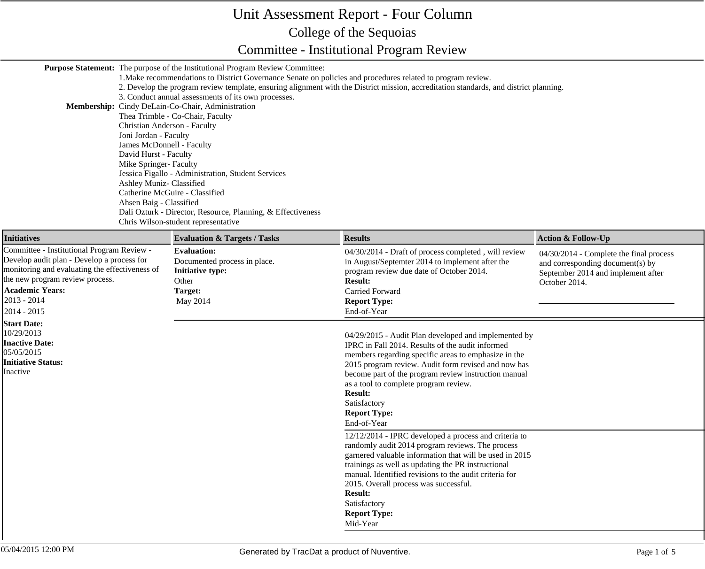## Unit Assessment Report - Four Column College of the Sequoias Committee - Institutional Program Review

**Purpose Statement:** The purpose of the Institutional Program Review Committee:

| Membership: Cindy DeLain-Co-Chair, Administration<br>Christian Anderson - Faculty<br>Joni Jordan - Faculty<br>James McDonnell - Faculty<br>David Hurst - Faculty<br>Mike Springer- Faculty<br>Ashley Muniz- Classified<br>Ahsen Baig - Classified | 3. Conduct annual assessments of its own processes.<br>Thea Trimble - Co-Chair, Faculty<br>Jessica Figallo - Administration, Student Services<br>Catherine McGuire - Classified<br>Dali Ozturk - Director, Resource, Planning, & Effectiveness<br>Chris Wilson-student representative | 1. Make recommendations to District Governance Senate on policies and procedures related to program review.<br>2. Develop the program review template, ensuring alignment with the District mission, accreditation standards, and district planning.                                                                                                                                               |                                                                                                                                    |
|---------------------------------------------------------------------------------------------------------------------------------------------------------------------------------------------------------------------------------------------------|---------------------------------------------------------------------------------------------------------------------------------------------------------------------------------------------------------------------------------------------------------------------------------------|----------------------------------------------------------------------------------------------------------------------------------------------------------------------------------------------------------------------------------------------------------------------------------------------------------------------------------------------------------------------------------------------------|------------------------------------------------------------------------------------------------------------------------------------|
| <b>Initiatives</b>                                                                                                                                                                                                                                | <b>Evaluation &amp; Targets / Tasks</b>                                                                                                                                                                                                                                               | <b>Results</b>                                                                                                                                                                                                                                                                                                                                                                                     | <b>Action &amp; Follow-Up</b>                                                                                                      |
| Committee - Institutional Program Review -<br>Develop audit plan - Develop a process for<br>monitoring and evaluating the effectiveness of<br>the new program review process.<br><b>Academic Years:</b><br>$2013 - 2014$<br>2014 - 2015           | <b>Evaluation:</b><br>Documented process in place.<br><b>Initiative type:</b><br>Other<br>Target:<br>May 2014                                                                                                                                                                         | 04/30/2014 - Draft of process completed, will review<br>in August/Septemter 2014 to implement after the<br>program review due date of October 2014.<br><b>Result:</b><br>Carried Forward<br><b>Report Type:</b><br>End-of-Year                                                                                                                                                                     | 04/30/2014 - Complete the final process<br>and corresponding document(s) by<br>September 2014 and implement after<br>October 2014. |
| <b>Start Date:</b><br>10/29/2013<br><b>Inactive Date:</b><br>05/05/2015<br><b>Initiative Status:</b><br>Inactive                                                                                                                                  |                                                                                                                                                                                                                                                                                       | 04/29/2015 - Audit Plan developed and implemented by<br>IPRC in Fall 2014. Results of the audit informed<br>members regarding specific areas to emphasize in the<br>2015 program review. Audit form revised and now has<br>become part of the program review instruction manual<br>as a tool to complete program review.<br><b>Result:</b><br>Satisfactory<br><b>Report Type:</b><br>End-of-Year   |                                                                                                                                    |
|                                                                                                                                                                                                                                                   |                                                                                                                                                                                                                                                                                       | 12/12/2014 - IPRC developed a process and criteria to<br>randomly audit 2014 program reviews. The process<br>garnered valuable information that will be used in 2015<br>trainings as well as updating the PR instructional<br>manual. Identified revisions to the audit criteria for<br>2015. Overall process was successful.<br><b>Result:</b><br>Satisfactory<br><b>Report Type:</b><br>Mid-Year |                                                                                                                                    |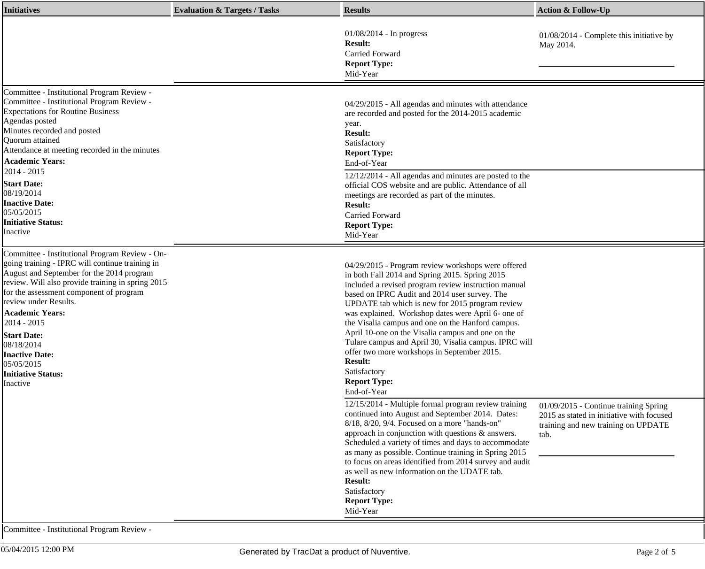| <b>Initiatives</b>                                                                                                                                                                                                                                                                                                                                                                                                                   | <b>Evaluation &amp; Targets / Tasks</b> | <b>Results</b>                                                                                                                                                                                                                                                                                                                                                                                                                                                                                                                                                                                                   | <b>Action &amp; Follow-Up</b>                                                                                                     |
|--------------------------------------------------------------------------------------------------------------------------------------------------------------------------------------------------------------------------------------------------------------------------------------------------------------------------------------------------------------------------------------------------------------------------------------|-----------------------------------------|------------------------------------------------------------------------------------------------------------------------------------------------------------------------------------------------------------------------------------------------------------------------------------------------------------------------------------------------------------------------------------------------------------------------------------------------------------------------------------------------------------------------------------------------------------------------------------------------------------------|-----------------------------------------------------------------------------------------------------------------------------------|
|                                                                                                                                                                                                                                                                                                                                                                                                                                      |                                         | $01/08/2014$ - In progress<br><b>Result:</b><br>Carried Forward<br><b>Report Type:</b><br>Mid-Year                                                                                                                                                                                                                                                                                                                                                                                                                                                                                                               | 01/08/2014 - Complete this initiative by<br>May 2014.                                                                             |
| Committee - Institutional Program Review -<br>Committee - Institutional Program Review -<br><b>Expectations for Routine Business</b><br>Agendas posted<br>Minutes recorded and posted<br>Quorum attained<br>Attendance at meeting recorded in the minutes<br><b>Academic Years:</b><br>2014 - 2015                                                                                                                                   |                                         | 04/29/2015 - All agendas and minutes with attendance<br>are recorded and posted for the 2014-2015 academic<br>year.<br><b>Result:</b><br>Satisfactory<br><b>Report Type:</b><br>End-of-Year                                                                                                                                                                                                                                                                                                                                                                                                                      |                                                                                                                                   |
| <b>Start Date:</b><br>08/19/2014<br><b>Inactive Date:</b><br>05/05/2015<br><b>Initiative Status:</b><br>Inactive                                                                                                                                                                                                                                                                                                                     |                                         | 12/12/2014 - All agendas and minutes are posted to the<br>official COS website and are public. Attendance of all<br>meetings are recorded as part of the minutes.<br><b>Result:</b><br>Carried Forward<br><b>Report Type:</b><br>Mid-Year                                                                                                                                                                                                                                                                                                                                                                        |                                                                                                                                   |
| Committee - Institutional Program Review - On-<br>going training - IPRC will continue training in<br>August and September for the 2014 program<br>review. Will also provide training in spring 2015<br>for the assessment component of program<br>review under Results.<br><b>Academic Years:</b><br>2014 - 2015<br><b>Start Date:</b><br>08/18/2014<br><b>Inactive Date:</b><br>05/05/2015<br><b>Initiative Status:</b><br>Inactive |                                         | 04/29/2015 - Program review workshops were offered<br>in both Fall 2014 and Spring 2015. Spring 2015<br>included a revised program review instruction manual<br>based on IPRC Audit and 2014 user survey. The<br>UPDATE tab which is new for 2015 program review<br>was explained. Workshop dates were April 6- one of<br>the Visalia campus and one on the Hanford campus.<br>April 10-one on the Visalia campus and one on the<br>Tulare campus and April 30, Visalia campus. IPRC will<br>offer two more workshops in September 2015.<br><b>Result:</b><br>Satisfactory<br><b>Report Type:</b><br>End-of-Year |                                                                                                                                   |
|                                                                                                                                                                                                                                                                                                                                                                                                                                      |                                         | 12/15/2014 - Multiple formal program review training<br>continued into August and September 2014. Dates:<br>8/18, 8/20, 9/4. Focused on a more "hands-on"<br>approach in conjunction with questions & answers.<br>Scheduled a variety of times and days to accommodate<br>as many as possible. Continue training in Spring 2015<br>to focus on areas identified from 2014 survey and audit<br>as well as new information on the UDATE tab.<br><b>Result:</b><br>Satisfactory<br><b>Report Type:</b><br>Mid-Year                                                                                                  | 01/09/2015 - Continue training Spring<br>2015 as stated in initiative with focused<br>training and new training on UPDATE<br>tab. |

Committee - Institutional Program Review -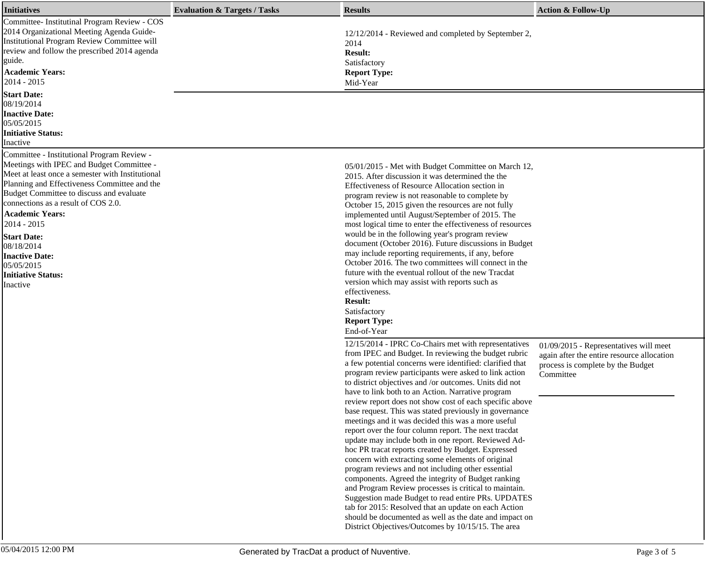| <b>Initiatives</b>                                                                                                                                                                                                                                                                                                                                                                                                                          | <b>Evaluation &amp; Targets / Tasks</b> | <b>Results</b>                                                                                                                                                                                                                                                                                                                                                                                                                                                                                                                                                                                                                                                                                                                                                                                                                                                                                                                                                                                                                                                                                  | <b>Action &amp; Follow-Up</b>                                                                |
|---------------------------------------------------------------------------------------------------------------------------------------------------------------------------------------------------------------------------------------------------------------------------------------------------------------------------------------------------------------------------------------------------------------------------------------------|-----------------------------------------|-------------------------------------------------------------------------------------------------------------------------------------------------------------------------------------------------------------------------------------------------------------------------------------------------------------------------------------------------------------------------------------------------------------------------------------------------------------------------------------------------------------------------------------------------------------------------------------------------------------------------------------------------------------------------------------------------------------------------------------------------------------------------------------------------------------------------------------------------------------------------------------------------------------------------------------------------------------------------------------------------------------------------------------------------------------------------------------------------|----------------------------------------------------------------------------------------------|
| Committee- Institutinal Program Review - COS<br>2014 Organizational Meeting Agenda Guide-<br><b>Institutional Program Review Committee will</b><br>review and follow the prescribed 2014 agenda<br>guide.<br><b>Academic Years:</b><br>$2014 - 2015$                                                                                                                                                                                        |                                         | 12/12/2014 - Reviewed and completed by September 2,<br>2014<br><b>Result:</b><br>Satisfactory<br><b>Report Type:</b><br>Mid-Year                                                                                                                                                                                                                                                                                                                                                                                                                                                                                                                                                                                                                                                                                                                                                                                                                                                                                                                                                                |                                                                                              |
| <b>Start Date:</b><br>08/19/2014<br><b>Inactive Date:</b><br>05/05/2015<br><b>Initiative Status:</b><br>Inactive                                                                                                                                                                                                                                                                                                                            |                                         |                                                                                                                                                                                                                                                                                                                                                                                                                                                                                                                                                                                                                                                                                                                                                                                                                                                                                                                                                                                                                                                                                                 |                                                                                              |
| Committee - Institutional Program Review -<br>Meetings with IPEC and Budget Committee -<br>Meet at least once a semester with Institutional<br>Planning and Effectiveness Committee and the<br>Budget Committee to discuss and evaluate<br>connections as a result of COS 2.0.<br><b>Academic Years:</b><br>2014 - 2015<br><b>Start Date:</b><br>08/18/2014<br><b>Inactive Date:</b><br>05/05/2015<br><b>Initiative Status:</b><br>Inactive |                                         | 05/01/2015 - Met with Budget Committee on March 12,<br>2015. After discussion it was determined the the<br>Effectiveness of Resource Allocation section in<br>program review is not reasonable to complete by<br>October 15, 2015 given the resources are not fully<br>implemented until August/September of 2015. The<br>most logical time to enter the effectiveness of resources<br>would be in the following year's program review<br>document (October 2016). Future discussions in Budget<br>may include reporting requirements, if any, before<br>October 2016. The two committees will connect in the<br>future with the eventual rollout of the new Tracdat<br>version which may assist with reports such as<br>effectiveness.<br><b>Result:</b><br>Satisfactory<br><b>Report Type:</b><br>End-of-Year<br>12/15/2014 - IPRC Co-Chairs met with representatives                                                                                                                                                                                                                         | 01/09/2015 - Representatives will meet                                                       |
|                                                                                                                                                                                                                                                                                                                                                                                                                                             |                                         | from IPEC and Budget. In reviewing the budget rubric<br>a few potential concerns were identified: clarified that<br>program review participants were asked to link action<br>to district objectives and /or outcomes. Units did not<br>have to link both to an Action. Narrative program<br>review report does not show cost of each specific above<br>base request. This was stated previously in governance<br>meetings and it was decided this was a more useful<br>report over the four column report. The next tracdat<br>update may include both in one report. Reviewed Ad-<br>hoc PR tracat reports created by Budget. Expressed<br>concern with extracting some elements of original<br>program reviews and not including other essential<br>components. Agreed the integrity of Budget ranking<br>and Program Review processes is critical to maintain.<br>Suggestion made Budget to read entire PRs. UPDATES<br>tab for 2015: Resolved that an update on each Action<br>should be documented as well as the date and impact on<br>District Objectives/Outcomes by 10/15/15. The area | again after the entire resource allocation<br>process is complete by the Budget<br>Committee |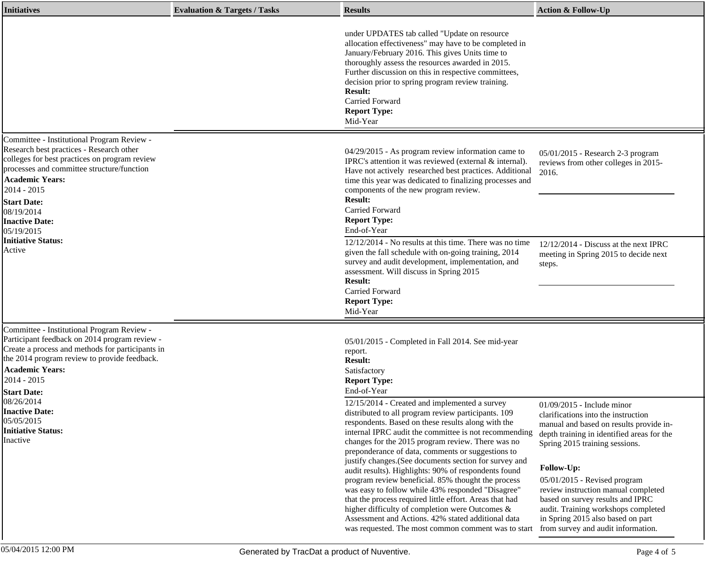| <b>Initiatives</b>                                                                                                                                                                                                                                                                                                                               | <b>Evaluation &amp; Targets / Tasks</b> | <b>Results</b>                                                                                                                                                                                                                                                                                                                                                                                                                                                                                                                                                                                                                                                                                                                                                                                                              | <b>Action &amp; Follow-Up</b>                                                                                                                                                                                                                                                                                                                                                                                                             |
|--------------------------------------------------------------------------------------------------------------------------------------------------------------------------------------------------------------------------------------------------------------------------------------------------------------------------------------------------|-----------------------------------------|-----------------------------------------------------------------------------------------------------------------------------------------------------------------------------------------------------------------------------------------------------------------------------------------------------------------------------------------------------------------------------------------------------------------------------------------------------------------------------------------------------------------------------------------------------------------------------------------------------------------------------------------------------------------------------------------------------------------------------------------------------------------------------------------------------------------------------|-------------------------------------------------------------------------------------------------------------------------------------------------------------------------------------------------------------------------------------------------------------------------------------------------------------------------------------------------------------------------------------------------------------------------------------------|
|                                                                                                                                                                                                                                                                                                                                                  |                                         | under UPDATES tab called "Update on resource<br>allocation effectiveness" may have to be completed in<br>January/February 2016. This gives Units time to<br>thoroughly assess the resources awarded in 2015.<br>Further discussion on this in respective committees,<br>decision prior to spring program review training.<br><b>Result:</b><br>Carried Forward<br><b>Report Type:</b><br>Mid-Year                                                                                                                                                                                                                                                                                                                                                                                                                           |                                                                                                                                                                                                                                                                                                                                                                                                                                           |
| Committee - Institutional Program Review -<br>Research best practices - Research other<br>colleges for best practices on program review<br>processes and committee structure/function<br><b>Academic Years:</b><br>2014 - 2015<br><b>Start Date:</b><br>08/19/2014<br><b>Inactive Date:</b><br>05/19/2015<br><b>Initiative Status:</b><br>Active |                                         | 04/29/2015 - As program review information came to<br>IPRC's attention it was reviewed (external & internal).<br>Have not actively researched best practices. Additional<br>time this year was dedicated to finalizing processes and<br>components of the new program review.<br><b>Result:</b><br><b>Carried Forward</b><br><b>Report Type:</b><br>End-of-Year<br>$12/12/2014$ - No results at this time. There was no time<br>given the fall schedule with on-going training, 2014<br>survey and audit development, implementation, and<br>assessment. Will discuss in Spring 2015                                                                                                                                                                                                                                        | 05/01/2015 - Research 2-3 program<br>reviews from other colleges in 2015-<br>2016.<br>$12/12/2014$ - Discuss at the next IPRC<br>meeting in Spring 2015 to decide next<br>steps.                                                                                                                                                                                                                                                          |
| Committee - Institutional Program Review -<br>Participant feedback on 2014 program review -<br>Create a process and methods for participants in<br>the 2014 program review to provide feedback.<br><b>Academic Years:</b>                                                                                                                        |                                         | <b>Result:</b><br>Carried Forward<br><b>Report Type:</b><br>Mid-Year<br>05/01/2015 - Completed in Fall 2014. See mid-year<br>report.<br><b>Result:</b><br>Satisfactory                                                                                                                                                                                                                                                                                                                                                                                                                                                                                                                                                                                                                                                      |                                                                                                                                                                                                                                                                                                                                                                                                                                           |
| 2014 - 2015<br><b>Start Date:</b><br>08/26/2014<br><b>Inactive Date:</b><br>05/05/2015<br><b>Initiative Status:</b><br>Inactive                                                                                                                                                                                                                  |                                         | <b>Report Type:</b><br>End-of-Year<br>12/15/2014 - Created and implemented a survey<br>distributed to all program review participants. 109<br>respondents. Based on these results along with the<br>internal IPRC audit the committee is not recommending<br>changes for the 2015 program review. There was no<br>preponderance of data, comments or suggestions to<br>justify changes. (See documents section for survey and<br>audit results). Highlights: 90% of respondents found<br>program review beneficial. 85% thought the process<br>was easy to follow while 43% responded "Disagree"<br>that the process required little effort. Areas that had<br>higher difficulty of completion were Outcomes &<br>Assessment and Actions. 42% stated additional data<br>was requested. The most common comment was to start | 01/09/2015 - Include minor<br>clarifications into the instruction<br>manual and based on results provide in-<br>depth training in identified areas for the<br>Spring 2015 training sessions.<br>Follow-Up:<br>$05/01/2015$ - Revised program<br>review instruction manual completed<br>based on survey results and IPRC<br>audit. Training workshops completed<br>in Spring 2015 also based on part<br>from survey and audit information. |